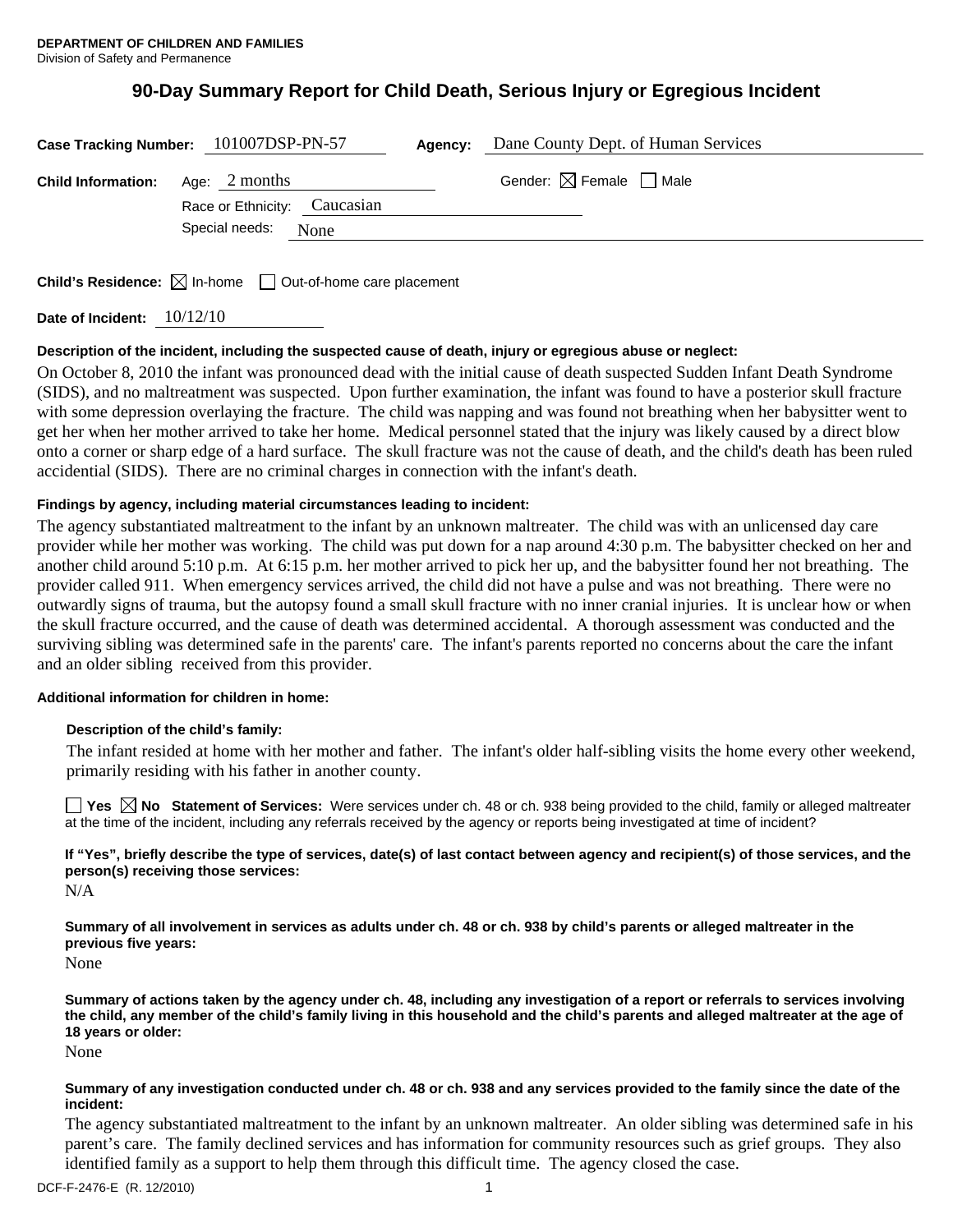# **90-Day Summary Report for Child Death, Serious Injury or Egregious Incident**

|                           | Case Tracking Number: 101007DSP-PN-57 | Agency: | Dane County Dept. of Human Services    |
|---------------------------|---------------------------------------|---------|----------------------------------------|
| <b>Child Information:</b> | Age: 2 months                         |         | Gender: $\boxtimes$ Female $\Box$ Male |
|                           | Race or Ethnicity: Caucasian          |         |                                        |
|                           | Special needs:<br>None                |         |                                        |
|                           |                                       |         |                                        |

**Child's Residence:**  $\boxtimes$  In-home  $\Box$  Out-of-home care placement

**Date of Incident:** 10/12/10

# **Description of the incident, including the suspected cause of death, injury or egregious abuse or neglect:**

On October 8, 2010 the infant was pronounced dead with the initial cause of death suspected Sudden Infant Death Syndrome (SIDS), and no maltreatment was suspected. Upon further examination, the infant was found to have a posterior skull fracture with some depression overlaying the fracture. The child was napping and was found not breathing when her babysitter went to get her when her mother arrived to take her home. Medical personnel stated that the injury was likely caused by a direct blow onto a corner or sharp edge of a hard surface. The skull fracture was not the cause of death, and the child's death has been ruled accidential (SIDS). There are no criminal charges in connection with the infant's death.

# **Findings by agency, including material circumstances leading to incident:**

The agency substantiated maltreatment to the infant by an unknown maltreater. The child was with an unlicensed day care provider while her mother was working. The child was put down for a nap around 4:30 p.m. The babysitter checked on her and another child around 5:10 p.m. At 6:15 p.m. her mother arrived to pick her up, and the babysitter found her not breathing. The provider called 911. When emergency services arrived, the child did not have a pulse and was not breathing. There were no outwardly signs of trauma, but the autopsy found a small skull fracture with no inner cranial injuries. It is unclear how or when the skull fracture occurred, and the cause of death was determined accidental. A thorough assessment was conducted and the surviving sibling was determined safe in the parents' care. The infant's parents reported no concerns about the care the infant and an older sibling received from this provider.

# **Additional information for children in home:**

# **Description of the child's family:**

 The infant resided at home with her mother and father. The infant's older half-sibling visits the home every other weekend, primarily residing with his father in another county.

**Yes No Statement of Services:** Were services under ch. 48 or ch. 938 being provided to the child, family or alleged maltreater at the time of the incident, including any referrals received by the agency or reports being investigated at time of incident?

**If "Yes", briefly describe the type of services, date(s) of last contact between agency and recipient(s) of those services, and the person(s) receiving those services:** 

N/A

**Summary of all involvement in services as adults under ch. 48 or ch. 938 by child's parents or alleged maltreater in the previous five years:** 

None

**Summary of actions taken by the agency under ch. 48, including any investigation of a report or referrals to services involving the child, any member of the child's family living in this household and the child's parents and alleged maltreater at the age of 18 years or older:** 

None

## **Summary of any investigation conducted under ch. 48 or ch. 938 and any services provided to the family since the date of the incident:**

The agency substantiated maltreatment to the infant by an unknown maltreater. An older sibling was determined safe in his parent's care. The family declined services and has information for community resources such as grief groups. They also identified family as a support to help them through this difficult time. The agency closed the case.